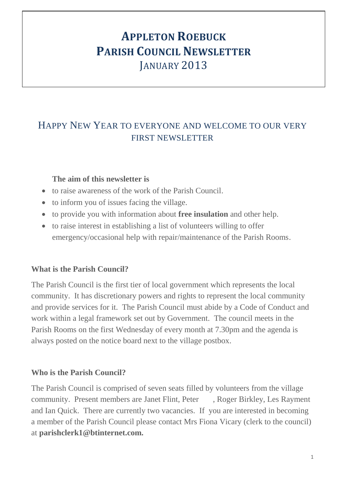# **APPLETON ROEBUCK PARISH COUNCIL NEWSLETTER** JANUARY 2013

# HAPPY NEW YEAR TO EVERYONE AND WELCOME TO OUR VERY FIRST NEWSLETTER

#### **The aim of this newsletter is**

- to raise awareness of the work of the Parish Council.
- to inform you of issues facing the village.
- to provide you with information about **free insulation** and other help.
- to raise interest in establishing a list of volunteers willing to offer emergency/occasional help with repair/maintenance of the Parish Rooms.

#### **What is the Parish Council?**

The Parish Council is the first tier of local government which represents the local community. It has discretionary powers and rights to represent the local community and provide services for it. The Parish Council must abide by a Code of Conduct and work within a legal framework set out by Government. The council meets in the Parish Rooms on the first Wednesday of every month at 7.30pm and the agenda is always posted on the notice board next to the village postbox.

# **Who is the Parish Council?**

The Parish Council is comprised of seven seats filled by volunteers from the village community. Present members are Janet Flint, Peter , Roger Birkley, Les Rayment and Ian Quick. There are currently two vacancies. If you are interested in becoming a member of the Parish Council please contact Mrs Fiona Vicary (clerk to the council) at **parishclerk1@btinternet.com.**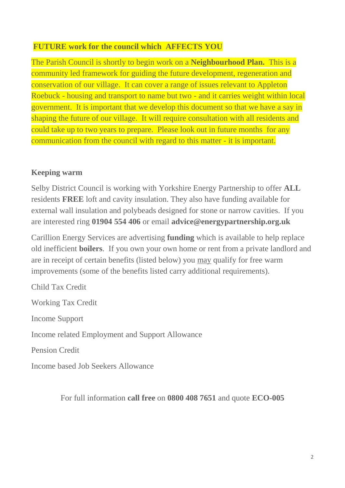#### **FUTURE work for the council which AFFECTS YOU**

The Parish Council is shortly to begin work on a **Neighbourhood Plan.** This is a community led framework for guiding the future development, regeneration and conservation of our village. It can cover a range of issues relevant to Appleton Roebuck - housing and transport to name but two - and it carries weight within local government. It is important that we develop this document so that we have a say in shaping the future of our village. It will require consultation with all residents and could take up to two years to prepare. Please look out in future months for any communication from the council with regard to this matter - it is important.

#### **Keeping warm**

Selby District Council is working with Yorkshire Energy Partnership to offer **ALL** residents **FREE** loft and cavity insulation. They also have funding available for external wall insulation and polybeads designed for stone or narrow cavities. If you are interested ring **01904 554 406** or email **advice@energypartnership.org.uk**

Carillion Energy Services are advertising **funding** which is available to help replace old inefficient **boilers**. If you own your own home or rent from a private landlord and are in receipt of certain benefits (listed below) you may qualify for free warm improvements (some of the benefits listed carry additional requirements).

Child Tax Credit Working Tax Credit Income Support Income related Employment and Support Allowance Pension Credit Income based Job Seekers Allowance

For full information **call free** on **0800 408 7651** and quote **ECO-005**